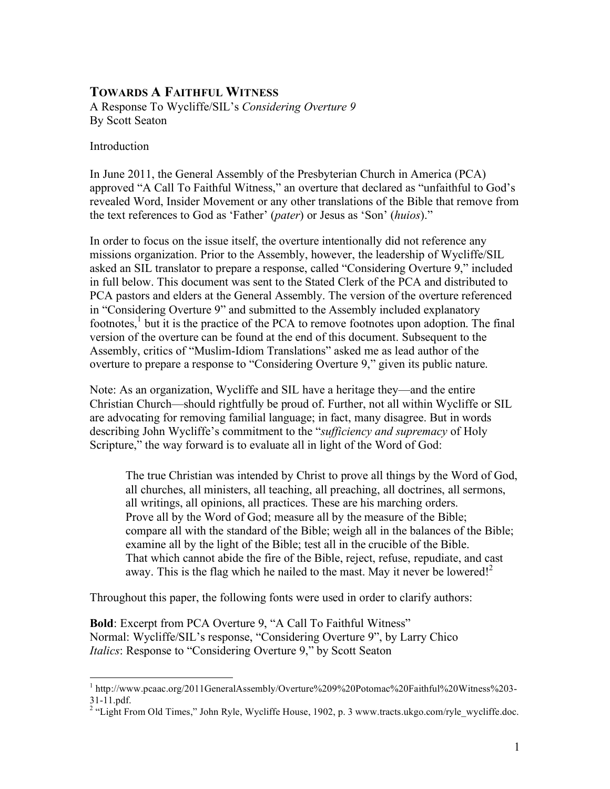## **TOWARDS A FAITHFUL WITNESS**

A Response To Wycliffe/SIL's *Considering Overture 9* By Scott Seaton

#### Introduction

In June 2011, the General Assembly of the Presbyterian Church in America (PCA) approved "A Call To Faithful Witness," an overture that declared as "unfaithful to God's revealed Word, Insider Movement or any other translations of the Bible that remove from the text references to God as 'Father' (*pater*) or Jesus as 'Son' (*huios*)."

In order to focus on the issue itself, the overture intentionally did not reference any missions organization. Prior to the Assembly, however, the leadership of Wycliffe/SIL asked an SIL translator to prepare a response, called "Considering Overture 9," included in full below. This document was sent to the Stated Clerk of the PCA and distributed to PCA pastors and elders at the General Assembly. The version of the overture referenced in "Considering Overture 9" and submitted to the Assembly included explanatory footnotes,<sup>1</sup> but it is the practice of the PCA to remove footnotes upon adoption. The final version of the overture can be found at the end of this document. Subsequent to the Assembly, critics of "Muslim-Idiom Translations" asked me as lead author of the overture to prepare a response to "Considering Overture 9," given its public nature.

Note: As an organization, Wycliffe and SIL have a heritage they—and the entire Christian Church—should rightfully be proud of. Further, not all within Wycliffe or SIL are advocating for removing familial language; in fact, many disagree. But in words describing John Wycliffe's commitment to the "*sufficiency and supremacy* of Holy Scripture," the way forward is to evaluate all in light of the Word of God:

The true Christian was intended by Christ to prove all things by the Word of God, all churches, all ministers, all teaching, all preaching, all doctrines, all sermons, all writings, all opinions, all practices. These are his marching orders. Prove all by the Word of God; measure all by the measure of the Bible; compare all with the standard of the Bible; weigh all in the balances of the Bible; examine all by the light of the Bible; test all in the crucible of the Bible. That which cannot abide the fire of the Bible, reject, refuse, repudiate, and cast away. This is the flag which he nailed to the mast. May it never be lowered!<sup>2</sup>

Throughout this paper, the following fonts were used in order to clarify authors:

**Bold**: Excerpt from PCA Overture 9, "A Call To Faithful Witness" Normal: Wycliffe/SIL's response, "Considering Overture 9", by Larry Chico *Italics*: Response to "Considering Overture 9," by Scott Seaton

 <sup>1</sup> http://www.pcaac.org/2011GeneralAssembly/Overture%209%20Potomac%20Faithful%20Witness%203- 31-11.pdf. <sup>2</sup>

<sup>&</sup>lt;sup>2</sup> "Light From Old Times," John Ryle, Wycliffe House, 1902, p. 3 www.tracts.ukgo.com/ryle\_wycliffe.doc.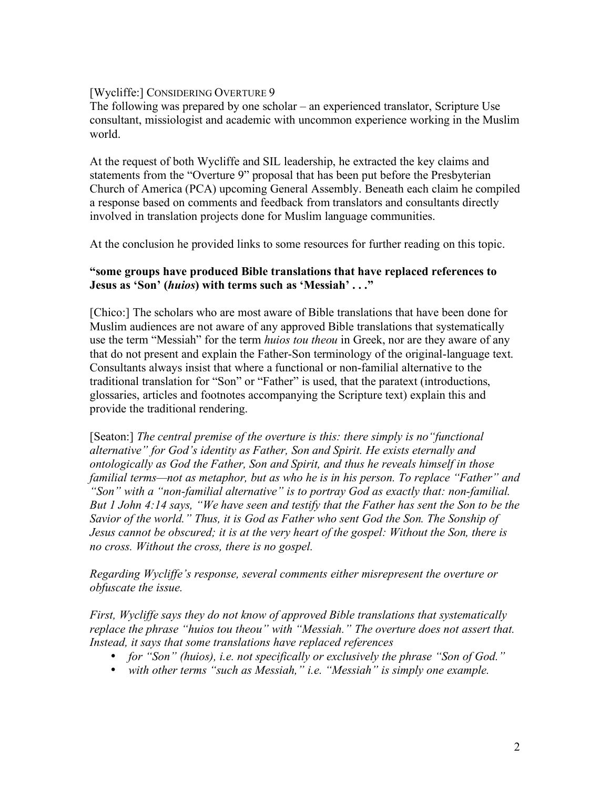## [Wycliffe:] CONSIDERING OVERTURE 9

The following was prepared by one scholar – an experienced translator, Scripture Use consultant, missiologist and academic with uncommon experience working in the Muslim world.

At the request of both Wycliffe and SIL leadership, he extracted the key claims and statements from the "Overture 9" proposal that has been put before the Presbyterian Church of America (PCA) upcoming General Assembly. Beneath each claim he compiled a response based on comments and feedback from translators and consultants directly involved in translation projects done for Muslim language communities.

At the conclusion he provided links to some resources for further reading on this topic.

## **"some groups have produced Bible translations that have replaced references to Jesus as 'Son' (***huios***) with terms such as 'Messiah' . . ."**

[Chico:] The scholars who are most aware of Bible translations that have been done for Muslim audiences are not aware of any approved Bible translations that systematically use the term "Messiah" for the term *huios tou theou* in Greek, nor are they aware of any that do not present and explain the Father-Son terminology of the original-language text. Consultants always insist that where a functional or non-familial alternative to the traditional translation for "Son" or "Father" is used, that the paratext (introductions, glossaries, articles and footnotes accompanying the Scripture text) explain this and provide the traditional rendering.

[Seaton:] *The central premise of the overture is this: there simply is no"functional alternative" for God's identity as Father, Son and Spirit. He exists eternally and ontologically as God the Father, Son and Spirit, and thus he reveals himself in those familial terms—not as metaphor, but as who he is in his person. To replace "Father" and "Son" with a "non-familial alternative" is to portray God as exactly that: non-familial. But 1 John 4:14 says, "We have seen and testify that the Father has sent the Son to be the Savior of the world." Thus, it is God as Father who sent God the Son. The Sonship of Jesus cannot be obscured; it is at the very heart of the gospel: Without the Son, there is no cross. Without the cross, there is no gospel.* 

*Regarding Wycliffe's response, several comments either misrepresent the overture or obfuscate the issue.* 

*First, Wycliffe says they do not know of approved Bible translations that systematically replace the phrase "huios tou theou" with "Messiah." The overture does not assert that. Instead, it says that some translations have replaced references*

- *for "Son" (huios), i.e. not specifically or exclusively the phrase "Son of God."*
- *with other terms "such as Messiah," i.e. "Messiah" is simply one example.*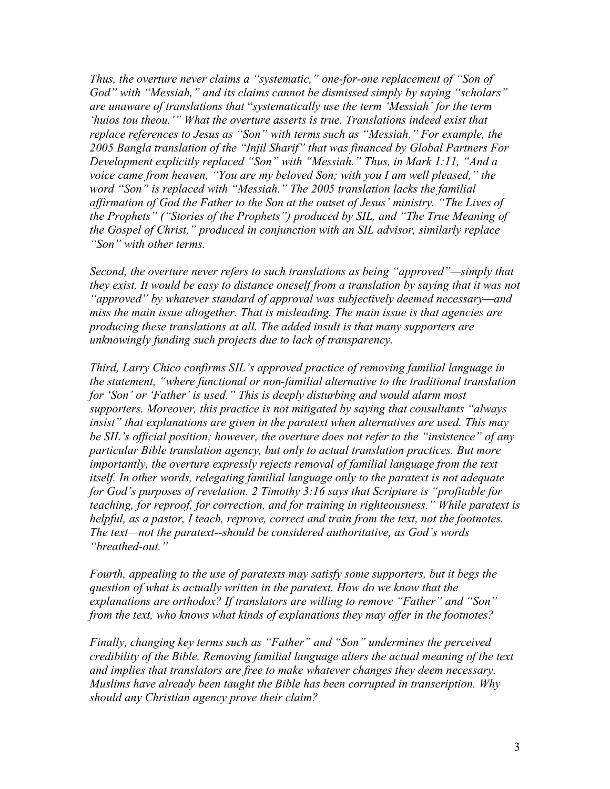*Thus, the overture never claims a "systematic," one-for-one replacement of "Son of God" with "Messiah," and its claims cannot be dismissed simply by saying "scholars" are unaware of translations that* "*systematically use the term 'Messiah' for the term 'huios tou theou.'" What the overture asserts is true. Translations indeed exist that replace references to Jesus as "Son" with terms such as "Messiah." For example, the 2005 Bangla translation of the "Injil Sharif" that was financed by Global Partners For Development explicitly replaced "Son" with "Messiah." Thus, in Mark 1:11, "And a voice came from heaven, "You are my beloved Son; with you I am well pleased," the word "Son" is replaced with "Messiah." The 2005 translation lacks the familial affirmation of God the Father to the Son at the outset of Jesus' ministry. "The Lives of the Prophets" ("Stories of the Prophets") produced by SIL, and "The True Meaning of the Gospel of Christ," produced in conjunction with an SIL advisor, similarly replace "Son" with other terms.* 

*Second, the overture never refers to such translations as being "approved"—simply that they exist. It would be easy to distance oneself from a translation by saying that it was not "approved" by whatever standard of approval was subjectively deemed necessary—and miss the main issue altogether. That is misleading. The main issue is that agencies are producing these translations at all. The added insult is that many supporters are unknowingly funding such projects due to lack of transparency.* 

*Third, Larry Chico confirms SIL's approved practice of removing familial language in the statement, "where functional or non-familial alternative to the traditional translation for 'Son' or 'Father' is used." This is deeply disturbing and would alarm most supporters. Moreover, this practice is not mitigated by saying that consultants "always insist" that explanations are given in the paratext when alternatives are used. This may be SIL's official position; however, the overture does not refer to the "insistence" of any particular Bible translation agency, but only to actual translation practices. But more importantly, the overture expressly rejects removal of familial language from the text itself. In other words, relegating familial language only to the paratext is not adequate for God's purposes of revelation. 2 Timothy 3:16 says that Scripture is "profitable for teaching, for reproof, for correction, and for training in righteousness." While paratext is helpful, as a pastor, I teach, reprove, correct and train from the text, not the footnotes. The text—not the paratext--should be considered authoritative, as God's words "breathed-out."*

*Fourth, appealing to the use of paratexts may satisfy some supporters, but it begs the question of what is actually written in the paratext. How do we know that the explanations are orthodox? If translators are willing to remove "Father" and "Son" from the text, who knows what kinds of explanations they may offer in the footnotes?*

*Finally, changing key terms such as "Father" and "Son" undermines the perceived credibility of the Bible. Removing familial language alters the actual meaning of the text and implies that translators are free to make whatever changes they deem necessary. Muslims have already been taught the Bible has been corrupted in transcription. Why should any Christian agency prove their claim?*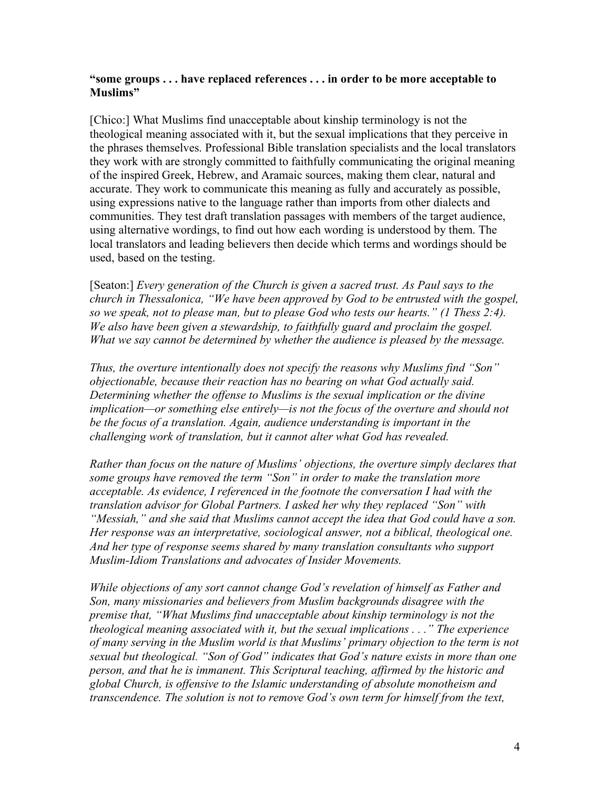#### **"some groups . . . have replaced references . . . in order to be more acceptable to Muslims"**

[Chico:] What Muslims find unacceptable about kinship terminology is not the theological meaning associated with it, but the sexual implications that they perceive in the phrases themselves. Professional Bible translation specialists and the local translators they work with are strongly committed to faithfully communicating the original meaning of the inspired Greek, Hebrew, and Aramaic sources, making them clear, natural and accurate. They work to communicate this meaning as fully and accurately as possible, using expressions native to the language rather than imports from other dialects and communities. They test draft translation passages with members of the target audience, using alternative wordings, to find out how each wording is understood by them. The local translators and leading believers then decide which terms and wordings should be used, based on the testing.

[Seaton:] *Every generation of the Church is given a sacred trust. As Paul says to the church in Thessalonica, "We have been approved by God to be entrusted with the gospel, so we speak, not to please man, but to please God who tests our hearts." (1 Thess 2:4). We also have been given a stewardship, to faithfully guard and proclaim the gospel. What we say cannot be determined by whether the audience is pleased by the message.* 

*Thus, the overture intentionally does not specify the reasons why Muslims find "Son" objectionable, because their reaction has no bearing on what God actually said. Determining whether the offense to Muslims is the sexual implication or the divine implication—or something else entirely—is not the focus of the overture and should not be the focus of a translation. Again, audience understanding is important in the challenging work of translation, but it cannot alter what God has revealed.* 

*Rather than focus on the nature of Muslims' objections, the overture simply declares that some groups have removed the term "Son" in order to make the translation more acceptable. As evidence, I referenced in the footnote the conversation I had with the translation advisor for Global Partners. I asked her why they replaced "Son" with "Messiah," and she said that Muslims cannot accept the idea that God could have a son. Her response was an interpretative, sociological answer, not a biblical, theological one. And her type of response seems shared by many translation consultants who support Muslim-Idiom Translations and advocates of Insider Movements.* 

*While objections of any sort cannot change God's revelation of himself as Father and Son, many missionaries and believers from Muslim backgrounds disagree with the premise that, "What Muslims find unacceptable about kinship terminology is not the theological meaning associated with it, but the sexual implications . . ." The experience of many serving in the Muslim world is that Muslims' primary objection to the term is not sexual but theological. "Son of God" indicates that God's nature exists in more than one person, and that he is immanent. This Scriptural teaching, affirmed by the historic and global Church, is offensive to the Islamic understanding of absolute monotheism and transcendence. The solution is not to remove God's own term for himself from the text,*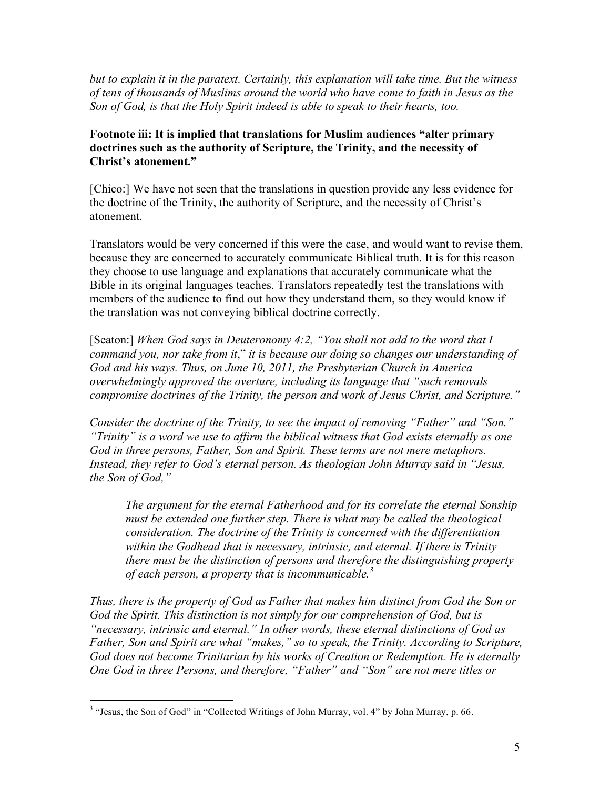*but to explain it in the paratext. Certainly, this explanation will take time. But the witness of tens of thousands of Muslims around the world who have come to faith in Jesus as the Son of God, is that the Holy Spirit indeed is able to speak to their hearts, too.* 

## **Footnote iii: It is implied that translations for Muslim audiences "alter primary doctrines such as the authority of Scripture, the Trinity, and the necessity of Christ's atonement."**

[Chico:] We have not seen that the translations in question provide any less evidence for the doctrine of the Trinity, the authority of Scripture, and the necessity of Christ's atonement.

Translators would be very concerned if this were the case, and would want to revise them, because they are concerned to accurately communicate Biblical truth. It is for this reason they choose to use language and explanations that accurately communicate what the Bible in its original languages teaches. Translators repeatedly test the translations with members of the audience to find out how they understand them, so they would know if the translation was not conveying biblical doctrine correctly.

[Seaton:] *When God says in Deuteronomy 4:2, "You shall not add to the word that I command you, nor take from it*," *it is because our doing so changes our understanding of God and his ways. Thus, on June 10, 2011, the Presbyterian Church in America overwhelmingly approved the overture, including its language that "such removals compromise doctrines of the Trinity, the person and work of Jesus Christ, and Scripture."* 

*Consider the doctrine of the Trinity, to see the impact of removing "Father" and "Son." "Trinity" is a word we use to affirm the biblical witness that God exists eternally as one God in three persons, Father, Son and Spirit. These terms are not mere metaphors. Instead, they refer to God's eternal person. As theologian John Murray said in "Jesus, the Son of God,"* 

*The argument for the eternal Fatherhood and for its correlate the eternal Sonship must be extended one further step. There is what may be called the theological consideration. The doctrine of the Trinity is concerned with the differentiation within the Godhead that is necessary, intrinsic, and eternal. If there is Trinity there must be the distinction of persons and therefore the distinguishing property of each person, a property that is incommunicable.<sup>3</sup>*

*Thus, there is the property of God as Father that makes him distinct from God the Son or God the Spirit. This distinction is not simply for our comprehension of God, but is "necessary, intrinsic and eternal." In other words, these eternal distinctions of God as Father, Son and Spirit are what "makes," so to speak, the Trinity. According to Scripture, God does not become Trinitarian by his works of Creation or Redemption. He is eternally One God in three Persons, and therefore, "Father" and "Son" are not mere titles or* 

 <sup>3</sup>  $3$  "Jesus, the Son of God" in "Collected Writings of John Murray, vol. 4" by John Murray, p. 66.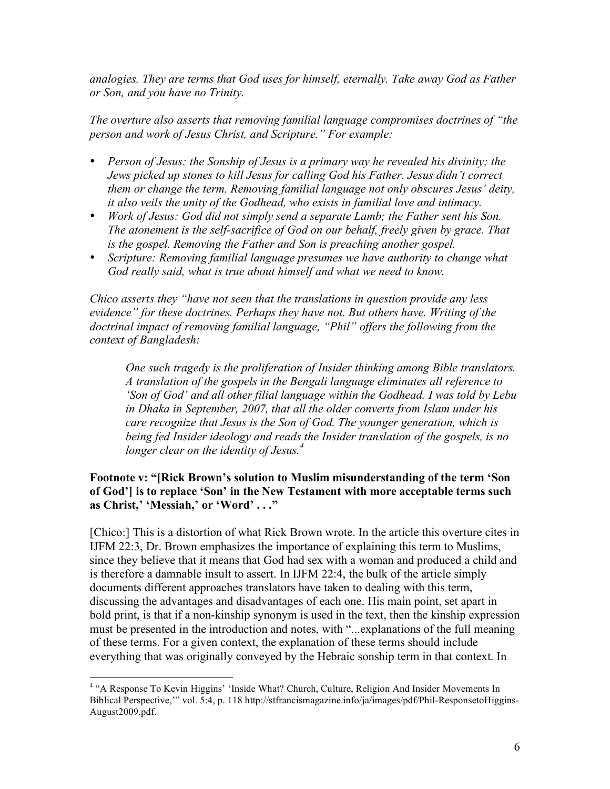*analogies. They are terms that God uses for himself, eternally. Take away God as Father or Son, and you have no Trinity.* 

*The overture also asserts that removing familial language compromises doctrines of "the person and work of Jesus Christ, and Scripture." For example:*

- *Person of Jesus: the Sonship of Jesus is a primary way he revealed his divinity; the Jews picked up stones to kill Jesus for calling God his Father. Jesus didn't correct them or change the term. Removing familial language not only obscures Jesus' deity, it also veils the unity of the Godhead, who exists in familial love and intimacy.*
- *Work of Jesus: God did not simply send a separate Lamb; the Father sent his Son. The atonement is the self-sacrifice of God on our behalf, freely given by grace. That is the gospel. Removing the Father and Son is preaching another gospel.*
- *Scripture: Removing familial language presumes we have authority to change what God really said, what is true about himself and what we need to know.*

*Chico asserts they "have not seen that the translations in question provide any less evidence" for these doctrines. Perhaps they have not. But others have. Writing of the*  doctrinal impact of removing familial language, "Phil" offers the following from the *context of Bangladesh:* 

*One such tragedy is the proliferation of Insider thinking among Bible translators. A translation of the gospels in the Bengali language eliminates all reference to 'Son of God' and all other filial language within the Godhead. I was told by Lebu in Dhaka in September, 2007, that all the older converts from Islam under his care recognize that Jesus is the Son of God. The younger generation, which is being fed Insider ideology and reads the Insider translation of the gospels, is no longer clear on the identity of Jesus.<sup>4</sup>*

## **Footnote v: "[Rick Brown's solution to Muslim misunderstanding of the term 'Son of God'] is to replace 'Son' in the New Testament with more acceptable terms such as Christ,' 'Messiah,' or 'Word' . . ."**

[Chico:] This is a distortion of what Rick Brown wrote. In the article this overture cites in IJFM 22:3, Dr. Brown emphasizes the importance of explaining this term to Muslims, since they believe that it means that God had sex with a woman and produced a child and is therefore a damnable insult to assert. In IJFM 22:4, the bulk of the article simply documents different approaches translators have taken to dealing with this term, discussing the advantages and disadvantages of each one. His main point, set apart in bold print, is that if a non-kinship synonym is used in the text, then the kinship expression must be presented in the introduction and notes, with "...explanations of the full meaning of these terms. For a given context, the explanation of these terms should include everything that was originally conveyed by the Hebraic sonship term in that context. In

 $\frac{1}{4}$ <sup>4</sup> "A Response To Kevin Higgins' 'Inside What? Church, Culture, Religion And Insider Movements In Biblical Perspective,'" vol. 5:4, p. 118 http://stfrancismagazine.info/ja/images/pdf/Phil-ResponsetoHiggins-August2009.pdf.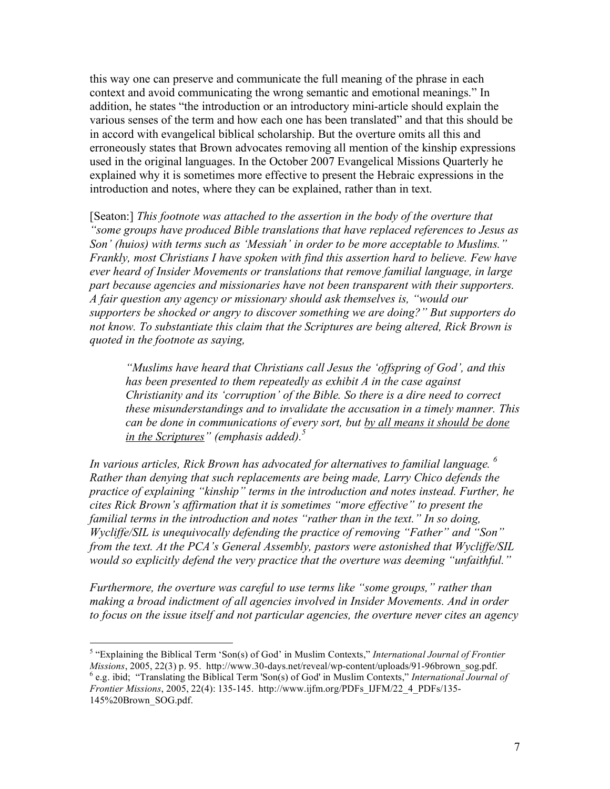this way one can preserve and communicate the full meaning of the phrase in each context and avoid communicating the wrong semantic and emotional meanings." In addition, he states "the introduction or an introductory mini-article should explain the various senses of the term and how each one has been translated" and that this should be in accord with evangelical biblical scholarship. But the overture omits all this and erroneously states that Brown advocates removing all mention of the kinship expressions used in the original languages. In the October 2007 Evangelical Missions Quarterly he explained why it is sometimes more effective to present the Hebraic expressions in the introduction and notes, where they can be explained, rather than in text.

[Seaton:] *This footnote was attached to the assertion in the body of the overture that "some groups have produced Bible translations that have replaced references to Jesus as Son' (huios) with terms such as 'Messiah' in order to be more acceptable to Muslims." Frankly, most Christians I have spoken with find this assertion hard to believe. Few have ever heard of Insider Movements or translations that remove familial language, in large part because agencies and missionaries have not been transparent with their supporters. A fair question any agency or missionary should ask themselves is, "would our supporters be shocked or angry to discover something we are doing?" But supporters do not know. To substantiate this claim that the Scriptures are being altered, Rick Brown is quoted in the footnote as saying,* 

*"Muslims have heard that Christians call Jesus the 'offspring of God', and this has been presented to them repeatedly as exhibit A in the case against Christianity and its 'corruption' of the Bible. So there is a dire need to correct these misunderstandings and to invalidate the accusation in a timely manner. This can be done in communications of every sort, but by all means it should be done in the Scriptures" (emphasis added).*<sup>5</sup>

*In various articles, Rick Brown has advocated for alternatives to familial language. 6 Rather than denying that such replacements are being made, Larry Chico defends the practice of explaining "kinship" terms in the introduction and notes instead. Further, he cites Rick Brown's affirmation that it is sometimes "more effective" to present the familial terms in the introduction and notes "rather than in the text." In so doing, Wycliffe/SIL is unequivocally defending the practice of removing "Father" and "Son" from the text. At the PCA's General Assembly, pastors were astonished that Wycliffe/SIL would so explicitly defend the very practice that the overture was deeming "unfaithful."* 

*Furthermore, the overture was careful to use terms like "some groups," rather than making a broad indictment of all agencies involved in Insider Movements. And in order to focus on the issue itself and not particular agencies, the overture never cites an agency* 

 $\frac{1}{5}$ <sup>5</sup> "Explaining the Biblical Term 'Son(s) of God' in Muslim Contexts," *International Journal of Frontier Missions*, 2005, 22(3) p. 95. http://www.30-days.net/reveal/wp-content/uploads/91-96brown\_sog.pdf. <sup>6</sup> e.g. ibid; "Translating the Biblical Term 'Son(s) of God' in Muslim Contexts," *International Journal of Frontier Missions*, 2005, 22(4): 135-145. http://www.ijfm.org/PDFs\_IJFM/22\_4\_PDFs/135- 145%20Brown\_SOG.pdf.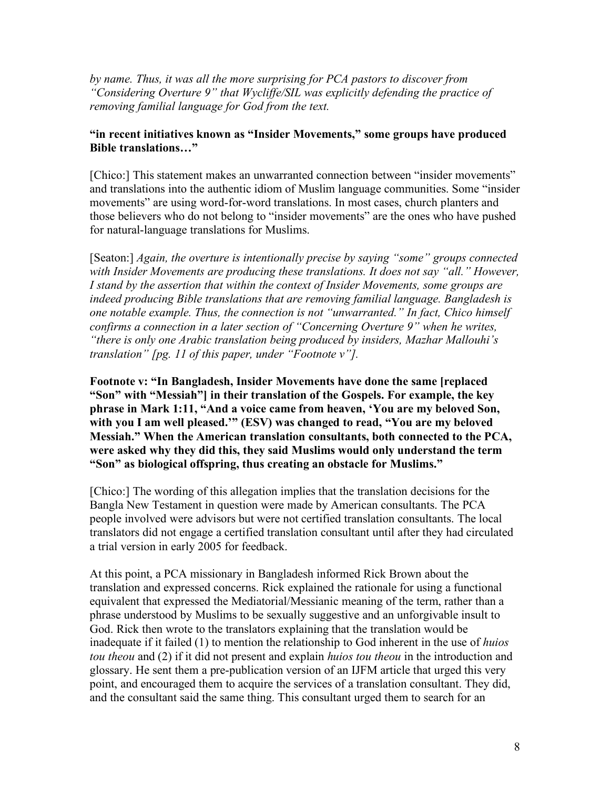*by name. Thus, it was all the more surprising for PCA pastors to discover from "Considering Overture 9" that Wycliffe/SIL was explicitly defending the practice of removing familial language for God from the text.* 

## **"in recent initiatives known as "Insider Movements," some groups have produced Bible translations…"**

[Chico:] This statement makes an unwarranted connection between "insider movements" and translations into the authentic idiom of Muslim language communities. Some "insider movements" are using word-for-word translations. In most cases, church planters and those believers who do not belong to "insider movements" are the ones who have pushed for natural-language translations for Muslims.

[Seaton:] *Again, the overture is intentionally precise by saying "some" groups connected with Insider Movements are producing these translations. It does not say "all." However, I stand by the assertion that within the context of Insider Movements, some groups are indeed producing Bible translations that are removing familial language. Bangladesh is one notable example. Thus, the connection is not "unwarranted." In fact, Chico himself confirms a connection in a later section of "Concerning Overture 9" when he writes, "there is only one Arabic translation being produced by insiders, Mazhar Mallouhi's translation" [pg. 11 of this paper, under "Footnote v"].* 

**Footnote v: "In Bangladesh, Insider Movements have done the same [replaced "Son" with "Messiah"] in their translation of the Gospels. For example, the key phrase in Mark 1:11, "And a voice came from heaven, 'You are my beloved Son, with you I am well pleased.'" (ESV) was changed to read, "You are my beloved Messiah." When the American translation consultants, both connected to the PCA, were asked why they did this, they said Muslims would only understand the term "Son" as biological offspring, thus creating an obstacle for Muslims."**

[Chico:] The wording of this allegation implies that the translation decisions for the Bangla New Testament in question were made by American consultants. The PCA people involved were advisors but were not certified translation consultants. The local translators did not engage a certified translation consultant until after they had circulated a trial version in early 2005 for feedback.

At this point, a PCA missionary in Bangladesh informed Rick Brown about the translation and expressed concerns. Rick explained the rationale for using a functional equivalent that expressed the Mediatorial/Messianic meaning of the term, rather than a phrase understood by Muslims to be sexually suggestive and an unforgivable insult to God. Rick then wrote to the translators explaining that the translation would be inadequate if it failed (1) to mention the relationship to God inherent in the use of *huios tou theou* and (2) if it did not present and explain *huios tou theou* in the introduction and glossary. He sent them a pre-publication version of an IJFM article that urged this very point, and encouraged them to acquire the services of a translation consultant. They did, and the consultant said the same thing. This consultant urged them to search for an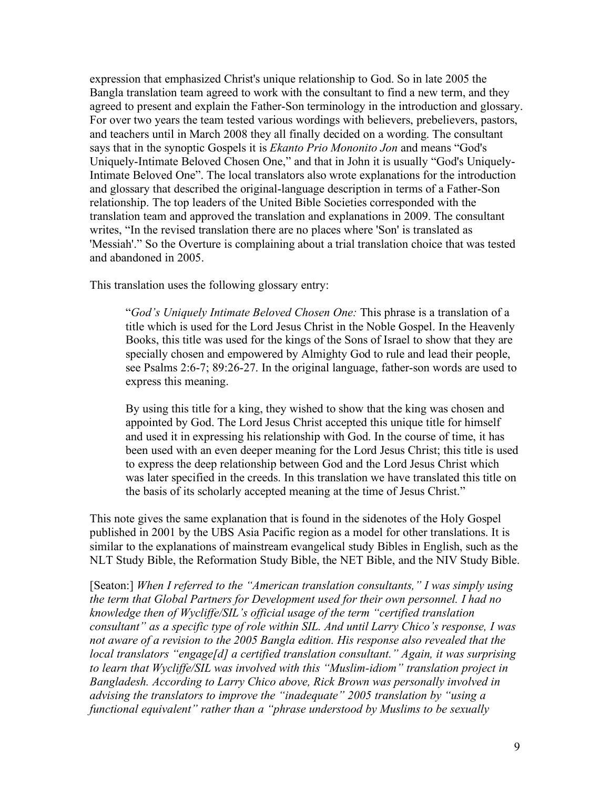expression that emphasized Christ's unique relationship to God. So in late 2005 the Bangla translation team agreed to work with the consultant to find a new term, and they agreed to present and explain the Father-Son terminology in the introduction and glossary. For over two years the team tested various wordings with believers, prebelievers, pastors, and teachers until in March 2008 they all finally decided on a wording. The consultant says that in the synoptic Gospels it is *Ekanto Prio Mononito Jon* and means "God's Uniquely-Intimate Beloved Chosen One," and that in John it is usually "God's Uniquely-Intimate Beloved One". The local translators also wrote explanations for the introduction and glossary that described the original-language description in terms of a Father-Son relationship. The top leaders of the United Bible Societies corresponded with the translation team and approved the translation and explanations in 2009. The consultant writes, "In the revised translation there are no places where 'Son' is translated as 'Messiah'." So the Overture is complaining about a trial translation choice that was tested and abandoned in 2005.

This translation uses the following glossary entry:

"*God's Uniquely Intimate Beloved Chosen One:* This phrase is a translation of a title which is used for the Lord Jesus Christ in the Noble Gospel. In the Heavenly Books, this title was used for the kings of the Sons of Israel to show that they are specially chosen and empowered by Almighty God to rule and lead their people, see Psalms 2:6-7; 89:26-27. In the original language, father-son words are used to express this meaning.

By using this title for a king, they wished to show that the king was chosen and appointed by God. The Lord Jesus Christ accepted this unique title for himself and used it in expressing his relationship with God. In the course of time, it has been used with an even deeper meaning for the Lord Jesus Christ; this title is used to express the deep relationship between God and the Lord Jesus Christ which was later specified in the creeds. In this translation we have translated this title on the basis of its scholarly accepted meaning at the time of Jesus Christ."

This note gives the same explanation that is found in the sidenotes of the Holy Gospel published in 2001 by the UBS Asia Pacific region as a model for other translations. It is similar to the explanations of mainstream evangelical study Bibles in English, such as the NLT Study Bible, the Reformation Study Bible, the NET Bible, and the NIV Study Bible.

[Seaton:] *When I referred to the "American translation consultants," I was simply using the term that Global Partners for Development used for their own personnel. I had no knowledge then of Wycliffe/SIL's official usage of the term "certified translation consultant" as a specific type of role within SIL. And until Larry Chico's response, I was not aware of a revision to the 2005 Bangla edition. His response also revealed that the local translators "engage[d] a certified translation consultant." Again, it was surprising to learn that Wycliffe/SIL was involved with this "Muslim-idiom" translation project in Bangladesh. According to Larry Chico above, Rick Brown was personally involved in advising the translators to improve the "inadequate" 2005 translation by "using a functional equivalent" rather than a "phrase understood by Muslims to be sexually*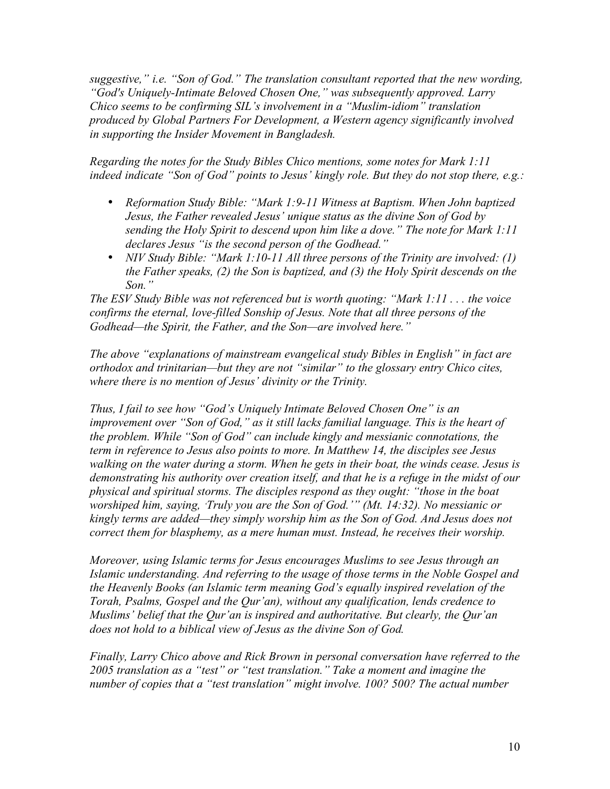*suggestive," i.e. "Son of God." The translation consultant reported that the new wording, "God's Uniquely-Intimate Beloved Chosen One," was subsequently approved. Larry Chico seems to be confirming SIL's involvement in a "Muslim-idiom" translation produced by Global Partners For Development, a Western agency significantly involved in supporting the Insider Movement in Bangladesh.* 

*Regarding the notes for the Study Bibles Chico mentions, some notes for Mark 1:11 indeed indicate "Son of God" points to Jesus' kingly role. But they do not stop there, e.g.:*

- *Reformation Study Bible: "Mark 1:9-11 Witness at Baptism. When John baptized Jesus, the Father revealed Jesus' unique status as the divine Son of God by sending the Holy Spirit to descend upon him like a dove." The note for Mark 1:11 declares Jesus "is the second person of the Godhead."*
- *NIV Study Bible: "Mark 1:10-11 All three persons of the Trinity are involved: (1) the Father speaks, (2) the Son is baptized, and (3) the Holy Spirit descends on the Son."*

*The ESV Study Bible was not referenced but is worth quoting: "Mark 1:11 . . . the voice confirms the eternal, love-filled Sonship of Jesus. Note that all three persons of the Godhead—the Spirit, the Father, and the Son—are involved here."* 

*The above "explanations of mainstream evangelical study Bibles in English" in fact are orthodox and trinitarian—but they are not "similar" to the glossary entry Chico cites, where there is no mention of Jesus' divinity or the Trinity.* 

*Thus, I fail to see how "God's Uniquely Intimate Beloved Chosen One" is an improvement over "Son of God," as it still lacks familial language. This is the heart of the problem. While "Son of God" can include kingly and messianic connotations, the term in reference to Jesus also points to more. In Matthew 14, the disciples see Jesus walking on the water during a storm. When he gets in their boat, the winds cease. Jesus is demonstrating his authority over creation itself, and that he is a refuge in the midst of our physical and spiritual storms. The disciples respond as they ought: "those in the boat worshiped him, saying, 'Truly you are the Son of God.'" (Mt. 14:32). No messianic or kingly terms are added—they simply worship him as the Son of God. And Jesus does not correct them for blasphemy, as a mere human must. Instead, he receives their worship.* 

*Moreover, using Islamic terms for Jesus encourages Muslims to see Jesus through an Islamic understanding. And referring to the usage of those terms in the Noble Gospel and the Heavenly Books (an Islamic term meaning God's equally inspired revelation of the Torah, Psalms, Gospel and the Qur'an), without any qualification, lends credence to Muslims' belief that the Qur'an is inspired and authoritative. But clearly, the Qur'an does not hold to a biblical view of Jesus as the divine Son of God.*

*Finally, Larry Chico above and Rick Brown in personal conversation have referred to the 2005 translation as a "test" or "test translation." Take a moment and imagine the number of copies that a "test translation" might involve. 100? 500? The actual number*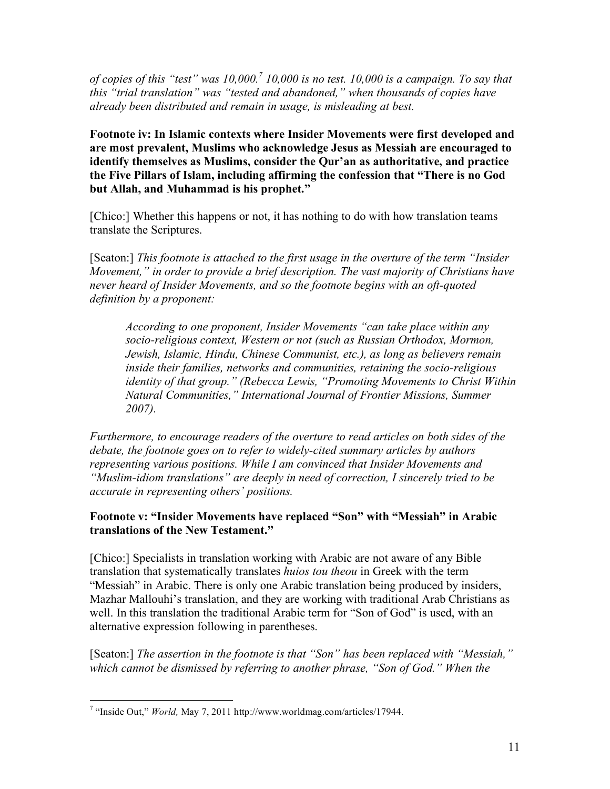*of copies of this "test" was 10,000.7 10,000 is no test. 10,000 is a campaign. To say that this "trial translation" was "tested and abandoned," when thousands of copies have already been distributed and remain in usage, is misleading at best.* 

**Footnote iv: In Islamic contexts where Insider Movements were first developed and are most prevalent, Muslims who acknowledge Jesus as Messiah are encouraged to identify themselves as Muslims, consider the Qur'an as authoritative, and practice the Five Pillars of Islam, including affirming the confession that "There is no God but Allah, and Muhammad is his prophet."** 

[Chico:] Whether this happens or not, it has nothing to do with how translation teams translate the Scriptures.

[Seaton:] *This footnote is attached to the first usage in the overture of the term "Insider*" *Movement," in order to provide a brief description. The vast majority of Christians have never heard of Insider Movements, and so the footnote begins with an oft-quoted definition by a proponent:* 

*According to one proponent, Insider Movements "can take place within any socio-religious context, Western or not (such as Russian Orthodox, Mormon, Jewish, Islamic, Hindu, Chinese Communist, etc.), as long as believers remain inside their families, networks and communities, retaining the socio-religious identity of that group." (Rebecca Lewis, "Promoting Movements to Christ Within Natural Communities," International Journal of Frontier Missions, Summer 2007).* 

*Furthermore, to encourage readers of the overture to read articles on both sides of the debate, the footnote goes on to refer to widely-cited summary articles by authors representing various positions. While I am convinced that Insider Movements and "Muslim-idiom translations" are deeply in need of correction, I sincerely tried to be accurate in representing others' positions.* 

## **Footnote v: "Insider Movements have replaced "Son" with "Messiah" in Arabic translations of the New Testament."**

[Chico:] Specialists in translation working with Arabic are not aware of any Bible translation that systematically translates *huios tou theou* in Greek with the term "Messiah" in Arabic. There is only one Arabic translation being produced by insiders, Mazhar Mallouhi's translation, and they are working with traditional Arab Christians as well. In this translation the traditional Arabic term for "Son of God" is used, with an alternative expression following in parentheses.

[Seaton:] *The assertion in the footnote is that "Son" has been replaced with "Messiah," which cannot be dismissed by referring to another phrase, "Son of God." When the* 

<sup>-&</sup>lt;br>7 <sup>7</sup> "Inside Out," *World*, May 7, 2011 http://www.worldmag.com/articles/17944.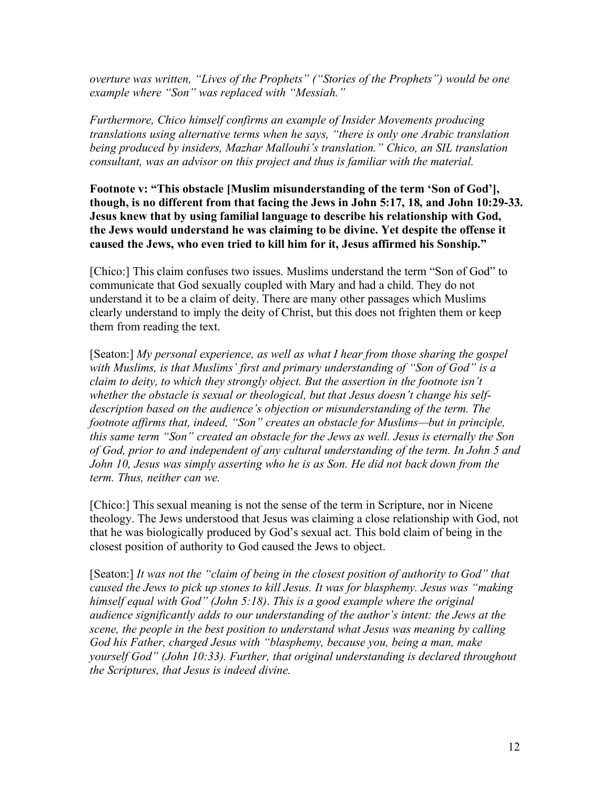*overture was written, "Lives of the Prophets" ("Stories of the Prophets") would be one example where "Son" was replaced with "Messiah."* 

*Furthermore, Chico himself confirms an example of Insider Movements producing translations using alternative terms when he says, "there is only one Arabic translation being produced by insiders, Mazhar Mallouhi's translation." Chico, an SIL translation consultant, was an advisor on this project and thus is familiar with the material.* 

**Footnote v: "This obstacle [Muslim misunderstanding of the term 'Son of God'], though, is no different from that facing the Jews in John 5:17, 18, and John 10:29-33. Jesus knew that by using familial language to describe his relationship with God, the Jews would understand he was claiming to be divine. Yet despite the offense it caused the Jews, who even tried to kill him for it, Jesus affirmed his Sonship."**

[Chico:] This claim confuses two issues. Muslims understand the term "Son of God" to communicate that God sexually coupled with Mary and had a child. They do not understand it to be a claim of deity. There are many other passages which Muslims clearly understand to imply the deity of Christ, but this does not frighten them or keep them from reading the text.

[Seaton:] *My personal experience, as well as what I hear from those sharing the gospel with Muslims, is that Muslims' first and primary understanding of "Son of God" is a claim to deity, to which they strongly object. But the assertion in the footnote isn't whether the obstacle is sexual or theological, but that Jesus doesn't change his selfdescription based on the audience's objection or misunderstanding of the term. The footnote affirms that, indeed, "Son" creates an obstacle for Muslims—but in principle, this same term "Son" created an obstacle for the Jews as well. Jesus is eternally the Son of God, prior to and independent of any cultural understanding of the term. In John 5 and John 10, Jesus was simply asserting who he is as Son. He did not back down from the term. Thus, neither can we.*

[Chico:] This sexual meaning is not the sense of the term in Scripture, nor in Nicene theology. The Jews understood that Jesus was claiming a close relationship with God, not that he was biologically produced by God's sexual act. This bold claim of being in the closest position of authority to God caused the Jews to object.

[Seaton:] *It was not the "claim of being in the closest position of authority to God" that caused the Jews to pick up stones to kill Jesus. It was for blasphemy. Jesus was "making himself equal with God" (John 5:18)*. *This is a good example where the original audience significantly adds to our understanding of the author's intent: the Jews at the scene, the people in the best position to understand what Jesus was meaning by calling God his Father, charged Jesus with "blasphemy, because you, being a man, make yourself God" (John 10:33). Further, that original understanding is declared throughout the Scriptures, that Jesus is indeed divine.*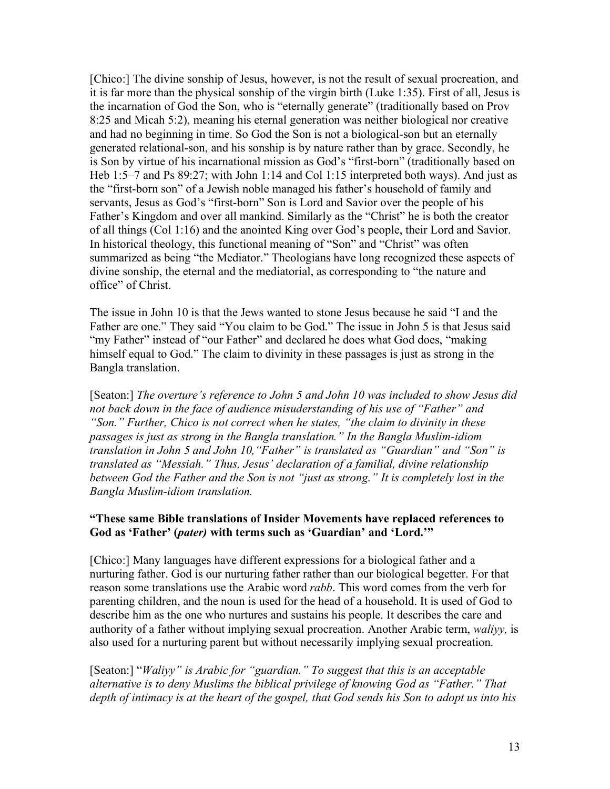[Chico:] The divine sonship of Jesus, however, is not the result of sexual procreation, and it is far more than the physical sonship of the virgin birth (Luke 1:35). First of all, Jesus is the incarnation of God the Son, who is "eternally generate" (traditionally based on Prov 8:25 and Micah 5:2), meaning his eternal generation was neither biological nor creative and had no beginning in time. So God the Son is not a biological-son but an eternally generated relational-son, and his sonship is by nature rather than by grace. Secondly, he is Son by virtue of his incarnational mission as God's "first-born" (traditionally based on Heb 1:5–7 and Ps 89:27; with John 1:14 and Col 1:15 interpreted both ways). And just as the "first-born son" of a Jewish noble managed his father's household of family and servants, Jesus as God's "first-born" Son is Lord and Savior over the people of his Father's Kingdom and over all mankind. Similarly as the "Christ" he is both the creator of all things (Col 1:16) and the anointed King over God's people, their Lord and Savior. In historical theology, this functional meaning of "Son" and "Christ" was often summarized as being "the Mediator." Theologians have long recognized these aspects of divine sonship, the eternal and the mediatorial, as corresponding to "the nature and office" of Christ.

The issue in John 10 is that the Jews wanted to stone Jesus because he said "I and the Father are one." They said "You claim to be God." The issue in John 5 is that Jesus said "my Father" instead of "our Father" and declared he does what God does, "making himself equal to God." The claim to divinity in these passages is just as strong in the Bangla translation.

[Seaton:] *The overture's reference to John 5 and John 10 was included to show Jesus did not back down in the face of audience misuderstanding of his use of "Father" and "Son." Further, Chico is not correct when he states, "the claim to divinity in these passages is just as strong in the Bangla translation." In the Bangla Muslim-idiom translation in John 5 and John 10,"Father" is translated as "Guardian" and "Son" is translated as "Messiah." Thus, Jesus' declaration of a familial, divine relationship between God the Father and the Son is not "just as strong." It is completely lost in the Bangla Muslim-idiom translation.* 

#### **"These same Bible translations of Insider Movements have replaced references to God as 'Father' (***pater)* **with terms such as 'Guardian' and 'Lord.'"**

[Chico:] Many languages have different expressions for a biological father and a nurturing father. God is our nurturing father rather than our biological begetter. For that reason some translations use the Arabic word *rabb*. This word comes from the verb for parenting children, and the noun is used for the head of a household. It is used of God to describe him as the one who nurtures and sustains his people. It describes the care and authority of a father without implying sexual procreation. Another Arabic term, *waliyy,* is also used for a nurturing parent but without necessarily implying sexual procreation.

[Seaton:] "*Waliyy" is Arabic for "guardian." To suggest that this is an acceptable alternative is to deny Muslims the biblical privilege of knowing God as "Father." That depth of intimacy is at the heart of the gospel, that God sends his Son to adopt us into his*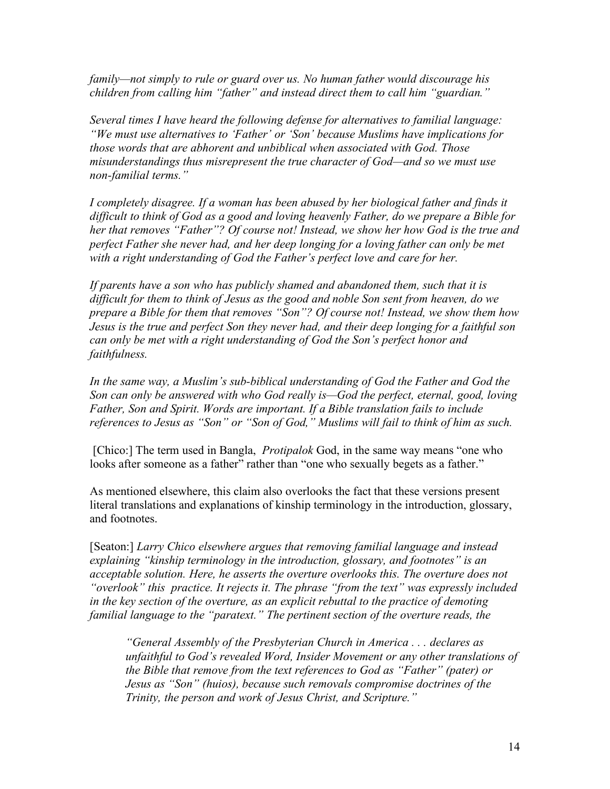*family—not simply to rule or guard over us. No human father would discourage his children from calling him "father" and instead direct them to call him "guardian."*

*Several times I have heard the following defense for alternatives to familial language: "We must use alternatives to 'Father' or 'Son' because Muslims have implications for those words that are abhorent and unbiblical when associated with God. Those misunderstandings thus misrepresent the true character of God—and so we must use non-familial terms."* 

*I completely disagree. If a woman has been abused by her biological father and finds it difficult to think of God as a good and loving heavenly Father, do we prepare a Bible for her that removes "Father"? Of course not! Instead, we show her how God is the true and perfect Father she never had, and her deep longing for a loving father can only be met*  with a right understanding of God the Father's perfect love and care for her.

*If parents have a son who has publicly shamed and abandoned them, such that it is difficult for them to think of Jesus as the good and noble Son sent from heaven, do we prepare a Bible for them that removes "Son"? Of course not! Instead, we show them how Jesus is the true and perfect Son they never had, and their deep longing for a faithful son can only be met with a right understanding of God the Son's perfect honor and faithfulness.* 

*In the same way, a Muslim's sub-biblical understanding of God the Father and God the Son can only be answered with who God really is—God the perfect, eternal, good, loving Father, Son and Spirit. Words are important. If a Bible translation fails to include references to Jesus as "Son" or "Son of God," Muslims will fail to think of him as such.*

 [Chico:] The term used in Bangla, *Protipalok* God, in the same way means "one who looks after someone as a father" rather than "one who sexually begets as a father."

As mentioned elsewhere, this claim also overlooks the fact that these versions present literal translations and explanations of kinship terminology in the introduction, glossary, and footnotes.

[Seaton:] *Larry Chico elsewhere argues that removing familial language and instead explaining "kinship terminology in the introduction, glossary, and footnotes" is an acceptable solution. Here, he asserts the overture overlooks this. The overture does not "overlook" this practice. It rejects it. The phrase "from the text" was expressly included in the key section of the overture, as an explicit rebuttal to the practice of demoting familial language to the "paratext." The pertinent section of the overture reads, the*

*"General Assembly of the Presbyterian Church in America . . . declares as unfaithful to God's revealed Word, Insider Movement or any other translations of the Bible that remove from the text references to God as "Father" (pater) or Jesus as "Son" (huios), because such removals compromise doctrines of the Trinity, the person and work of Jesus Christ, and Scripture."*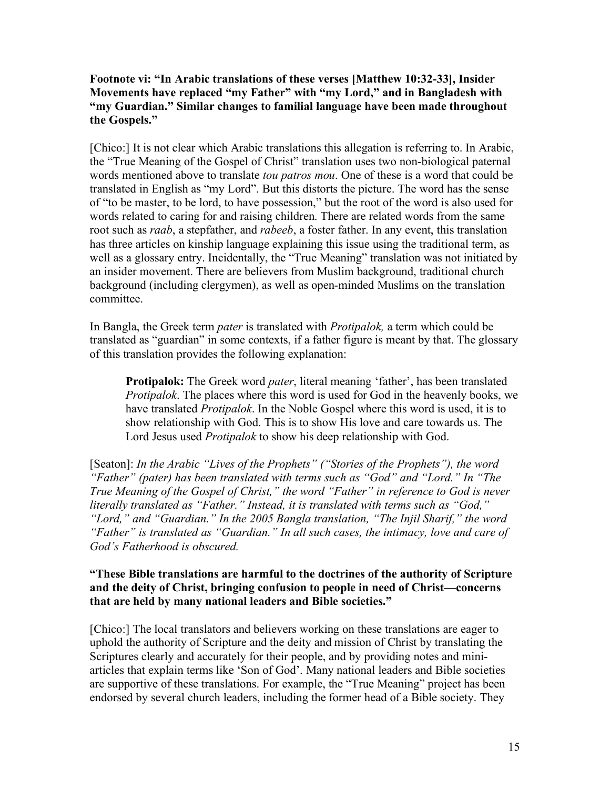## **Footnote vi: "In Arabic translations of these verses [Matthew 10:32-33], Insider Movements have replaced "my Father" with "my Lord," and in Bangladesh with "my Guardian." Similar changes to familial language have been made throughout the Gospels."**

[Chico:] It is not clear which Arabic translations this allegation is referring to. In Arabic, the "True Meaning of the Gospel of Christ" translation uses two non-biological paternal words mentioned above to translate *tou patros mou*. One of these is a word that could be translated in English as "my Lord". But this distorts the picture. The word has the sense of "to be master, to be lord, to have possession," but the root of the word is also used for words related to caring for and raising children. There are related words from the same root such as *raab*, a stepfather, and *rabeeb*, a foster father. In any event, this translation has three articles on kinship language explaining this issue using the traditional term, as well as a glossary entry. Incidentally, the "True Meaning" translation was not initiated by an insider movement. There are believers from Muslim background, traditional church background (including clergymen), as well as open-minded Muslims on the translation committee.

In Bangla, the Greek term *pater* is translated with *Protipalok,* a term which could be translated as "guardian" in some contexts, if a father figure is meant by that. The glossary of this translation provides the following explanation:

**Protipalok:** The Greek word *pater*, literal meaning 'father', has been translated *Protipalok*. The places where this word is used for God in the heavenly books, we have translated *Protipalok*. In the Noble Gospel where this word is used, it is to show relationship with God. This is to show His love and care towards us. The Lord Jesus used *Protipalok* to show his deep relationship with God.

[Seaton]: *In the Arabic "Lives of the Prophets" ("Stories of the Prophets"), the word "Father" (pater) has been translated with terms such as "God" and "Lord." In "The True Meaning of the Gospel of Christ," the word "Father" in reference to God is never literally translated as "Father." Instead, it is translated with terms such as "God," "Lord," and "Guardian." In the 2005 Bangla translation, "The Injil Sharif," the word "Father" is translated as "Guardian." In all such cases, the intimacy, love and care of God's Fatherhood is obscured.*

## **"These Bible translations are harmful to the doctrines of the authority of Scripture and the deity of Christ, bringing confusion to people in need of Christ—concerns that are held by many national leaders and Bible societies."**

[Chico:] The local translators and believers working on these translations are eager to uphold the authority of Scripture and the deity and mission of Christ by translating the Scriptures clearly and accurately for their people, and by providing notes and miniarticles that explain terms like 'Son of God'. Many national leaders and Bible societies are supportive of these translations. For example, the "True Meaning" project has been endorsed by several church leaders, including the former head of a Bible society. They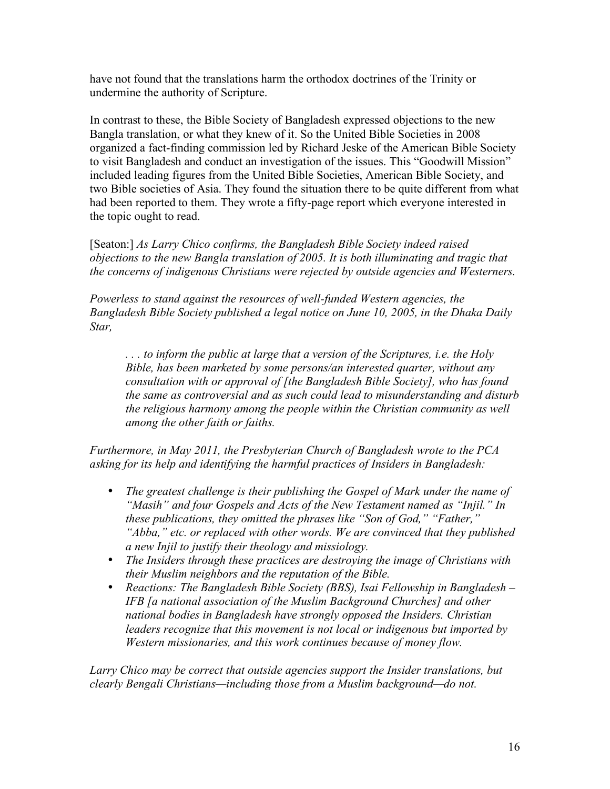have not found that the translations harm the orthodox doctrines of the Trinity or undermine the authority of Scripture.

In contrast to these, the Bible Society of Bangladesh expressed objections to the new Bangla translation, or what they knew of it. So the United Bible Societies in 2008 organized a fact-finding commission led by Richard Jeske of the American Bible Society to visit Bangladesh and conduct an investigation of the issues. This "Goodwill Mission" included leading figures from the United Bible Societies, American Bible Society, and two Bible societies of Asia. They found the situation there to be quite different from what had been reported to them. They wrote a fifty-page report which everyone interested in the topic ought to read.

[Seaton:] *As Larry Chico confirms, the Bangladesh Bible Society indeed raised objections to the new Bangla translation of 2005. It is both illuminating and tragic that the concerns of indigenous Christians were rejected by outside agencies and Westerners.*

*Powerless to stand against the resources of well-funded Western agencies, the Bangladesh Bible Society published a legal notice on June 10, 2005, in the Dhaka Daily Star,*

*. . . to inform the public at large that a version of the Scriptures, i.e. the Holy Bible, has been marketed by some persons/an interested quarter, without any consultation with or approval of [the Bangladesh Bible Society], who has found the same as controversial and as such could lead to misunderstanding and disturb the religious harmony among the people within the Christian community as well among the other faith or faiths.* 

*Furthermore, in May 2011, the Presbyterian Church of Bangladesh wrote to the PCA asking for its help and identifying the harmful practices of Insiders in Bangladesh:* 

- *The greatest challenge is their publishing the Gospel of Mark under the name of "Masih" and four Gospels and Acts of the New Testament named as "Injil." In these publications, they omitted the phrases like "Son of God," "Father," "Abba," etc. or replaced with other words. We are convinced that they published a new Injil to justify their theology and missiology.*
- *The Insiders through these practices are destroying the image of Christians with their Muslim neighbors and the reputation of the Bible.*
- *Reactions: The Bangladesh Bible Society (BBS), Isai Fellowship in Bangladesh – IFB [a national association of the Muslim Background Churches] and other national bodies in Bangladesh have strongly opposed the Insiders. Christian leaders recognize that this movement is not local or indigenous but imported by Western missionaries, and this work continues because of money flow.*

*Larry Chico may be correct that outside agencies support the Insider translations, but clearly Bengali Christians—including those from a Muslim background—do not.*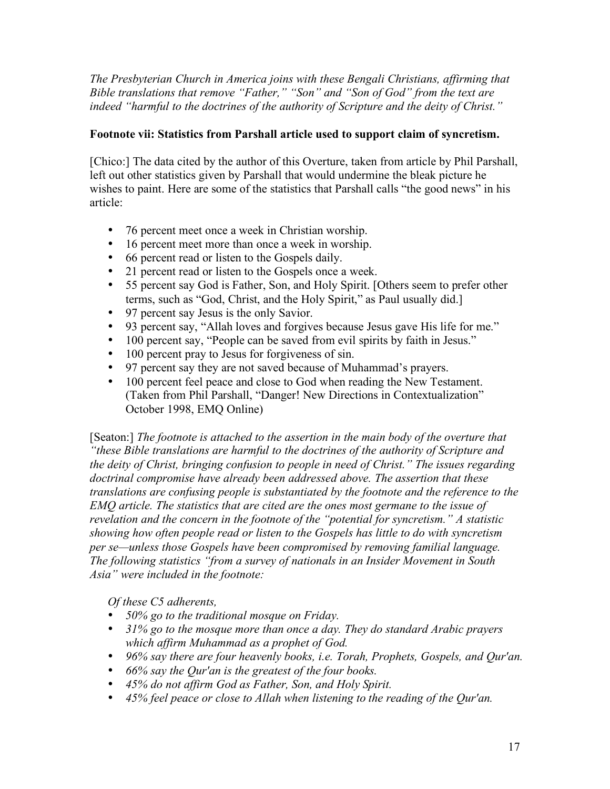*The Presbyterian Church in America joins with these Bengali Christians, affirming that Bible translations that remove "Father," "Son" and "Son of God" from the text are indeed "harmful to the doctrines of the authority of Scripture and the deity of Christ."* 

# **Footnote vii: Statistics from Parshall article used to support claim of syncretism.**

[Chico:] The data cited by the author of this Overture, taken from article by Phil Parshall, left out other statistics given by Parshall that would undermine the bleak picture he wishes to paint. Here are some of the statistics that Parshall calls "the good news" in his article:

- 76 percent meet once a week in Christian worship.
- 16 percent meet more than once a week in worship.
- 66 percent read or listen to the Gospels daily.
- 21 percent read or listen to the Gospels once a week.
- 55 percent say God is Father, Son, and Holy Spirit. [Others seem to prefer other terms, such as "God, Christ, and the Holy Spirit," as Paul usually did.]
- 97 percent say Jesus is the only Savior.
- 93 percent say, "Allah loves and forgives because Jesus gave His life for me."
- 100 percent say, "People can be saved from evil spirits by faith in Jesus."
- 100 percent pray to Jesus for forgiveness of sin.
- 97 percent say they are not saved because of Muhammad's prayers.
- 100 percent feel peace and close to God when reading the New Testament. (Taken from Phil Parshall, "Danger! New Directions in Contextualization" October 1998, EMQ Online)

[Seaton:] *The footnote is attached to the assertion in the main body of the overture that "these Bible translations are harmful to the doctrines of the authority of Scripture and the deity of Christ, bringing confusion to people in need of Christ." The issues regarding doctrinal compromise have already been addressed above. The assertion that these translations are confusing people is substantiated by the footnote and the reference to the EMQ article. The statistics that are cited are the ones most germane to the issue of revelation and the concern in the footnote of the "potential for syncretism." A statistic showing how often people read or listen to the Gospels has little to do with syncretism per se—unless those Gospels have been compromised by removing familial language. The following statistics "from a survey of nationals in an Insider Movement in South Asia" were included in the footnote:*

*Of these C5 adherents,* 

- *50% go to the traditional mosque on Friday.*
- *31% go to the mosque more than once a day. They do standard Arabic prayers which affirm Muhammad as a prophet of God.*
- *96% say there are four heavenly books, i.e. Torah, Prophets, Gospels, and Qur'an.*
- *66% say the Qur'an is the greatest of the four books.*
- *45% do not affirm God as Father, Son, and Holy Spirit.*
- *45% feel peace or close to Allah when listening to the reading of the Qur'an.*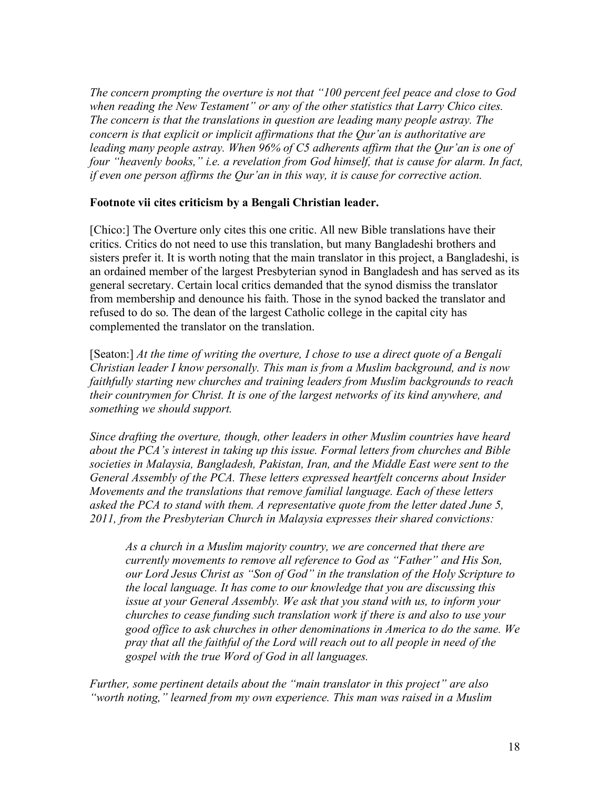*The concern prompting the overture is not that "100 percent feel peace and close to God when reading the New Testament" or any of the other statistics that Larry Chico cites. The concern is that the translations in question are leading many people astray. The concern is that explicit or implicit affirmations that the Qur'an is authoritative are leading many people astray. When 96% of C5 adherents affirm that the Qur'an is one of four "heavenly books," i.e. a revelation from God himself, that is cause for alarm. In fact, if even one person affirms the Qur'an in this way, it is cause for corrective action.*

## **Footnote vii cites criticism by a Bengali Christian leader.**

[Chico:] The Overture only cites this one critic. All new Bible translations have their critics. Critics do not need to use this translation, but many Bangladeshi brothers and sisters prefer it. It is worth noting that the main translator in this project, a Bangladeshi, is an ordained member of the largest Presbyterian synod in Bangladesh and has served as its general secretary. Certain local critics demanded that the synod dismiss the translator from membership and denounce his faith. Those in the synod backed the translator and refused to do so. The dean of the largest Catholic college in the capital city has complemented the translator on the translation.

[Seaton:] *At the time of writing the overture, I chose to use a direct quote of a Bengali Christian leader I know personally. This man is from a Muslim background, and is now faithfully starting new churches and training leaders from Muslim backgrounds to reach their countrymen for Christ. It is one of the largest networks of its kind anywhere, and something we should support.* 

*Since drafting the overture, though, other leaders in other Muslim countries have heard about the PCA's interest in taking up this issue. Formal letters from churches and Bible societies in Malaysia, Bangladesh, Pakistan, Iran, and the Middle East were sent to the General Assembly of the PCA. These letters expressed heartfelt concerns about Insider Movements and the translations that remove familial language. Each of these letters asked the PCA to stand with them. A representative quote from the letter dated June 5, 2011, from the Presbyterian Church in Malaysia expresses their shared convictions:*

*As a church in a Muslim majority country, we are concerned that there are currently movements to remove all reference to God as "Father" and His Son, our Lord Jesus Christ as "Son of God" in the translation of the Holy Scripture to the local language. It has come to our knowledge that you are discussing this issue at your General Assembly. We ask that you stand with us, to inform your churches to cease funding such translation work if there is and also to use your good office to ask churches in other denominations in America to do the same. We pray that all the faithful of the Lord will reach out to all people in need of the gospel with the true Word of God in all languages.* 

*Further, some pertinent details about the "main translator in this project" are also "worth noting," learned from my own experience. This man was raised in a Muslim*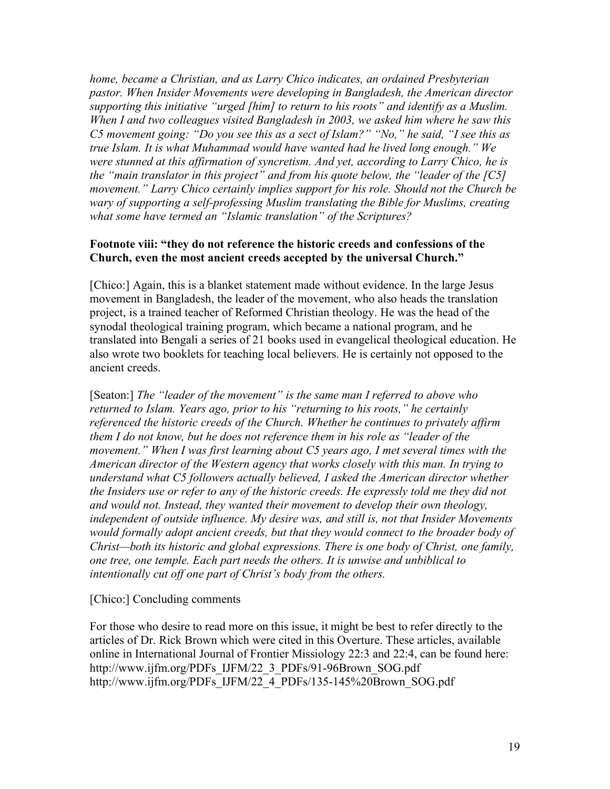*home, became a Christian, and as Larry Chico indicates, an ordained Presbyterian pastor. When Insider Movements were developing in Bangladesh, the American director supporting this initiative "urged [him] to return to his roots" and identify as a Muslim. When I and two colleagues visited Bangladesh in 2003, we asked him where he saw this C5 movement going: "Do you see this as a sect of Islam?" "No," he said, "I see this as true Islam. It is what Muhammad would have wanted had he lived long enough." We were stunned at this affirmation of syncretism. And yet, according to Larry Chico, he is the "main translator in this project" and from his quote below, the "leader of the [C5] movement." Larry Chico certainly implies support for his role. Should not the Church be wary of supporting a self-professing Muslim translating the Bible for Muslims, creating what some have termed an "Islamic translation" of the Scriptures?*

## **Footnote viii: "they do not reference the historic creeds and confessions of the Church, even the most ancient creeds accepted by the universal Church."**

[Chico:] Again, this is a blanket statement made without evidence. In the large Jesus movement in Bangladesh, the leader of the movement, who also heads the translation project, is a trained teacher of Reformed Christian theology. He was the head of the synodal theological training program, which became a national program, and he translated into Bengali a series of 21 books used in evangelical theological education. He also wrote two booklets for teaching local believers. He is certainly not opposed to the ancient creeds.

[Seaton:] *The "leader of the movement" is the same man I referred to above who returned to Islam. Years ago, prior to his "returning to his roots," he certainly referenced the historic creeds of the Church. Whether he continues to privately affirm them I do not know, but he does not reference them in his role as "leader of the movement." When I was first learning about C5 years ago, I met several times with the American director of the Western agency that works closely with this man. In trying to understand what C5 followers actually believed, I asked the American director whether the Insiders use or refer to any of the historic creeds. He expressly told me they did not and would not. Instead, they wanted their movement to develop their own theology, independent of outside influence. My desire was, and still is, not that Insider Movements would formally adopt ancient creeds, but that they would connect to the broader body of Christ—both its historic and global expressions. There is one body of Christ, one family, one tree, one temple. Each part needs the others. It is unwise and unbiblical to intentionally cut off one part of Christ's body from the others.*

#### [Chico:] Concluding comments

For those who desire to read more on this issue, it might be best to refer directly to the articles of Dr. Rick Brown which were cited in this Overture. These articles, available online in International Journal of Frontier Missiology 22:3 and 22:4, can be found here: http://www.ijfm.org/PDFs\_IJFM/22\_3\_PDFs/91-96Brown\_SOG.pdf http://www.ijfm.org/PDFs\_IJFM/22\_4\_PDFs/135-145%20Brown\_SOG.pdf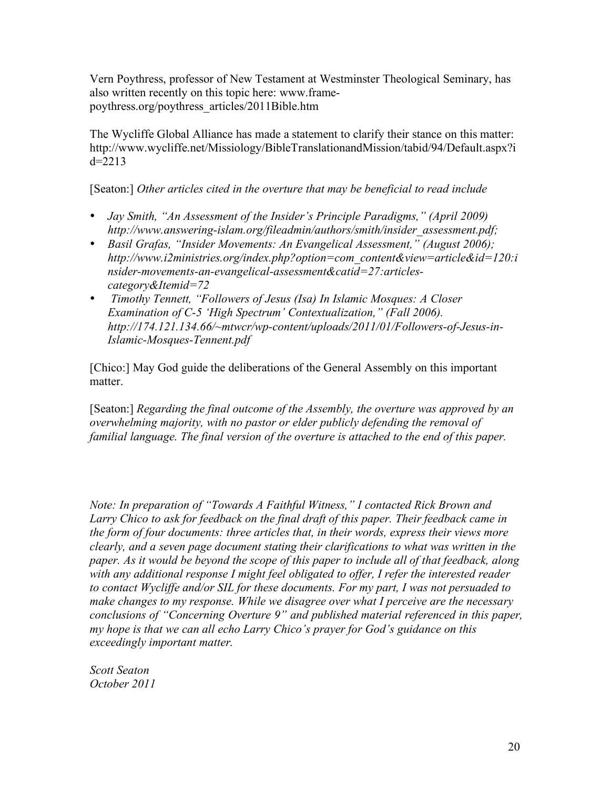Vern Poythress, professor of New Testament at Westminster Theological Seminary, has also written recently on this topic here: www.framepoythress.org/poythress\_articles/2011Bible.htm

The Wycliffe Global Alliance has made a statement to clarify their stance on this matter: http://www.wycliffe.net/Missiology/BibleTranslationandMission/tabid/94/Default.aspx?i  $d=2213$ 

[Seaton:] *Other articles cited in the overture that may be beneficial to read include*

- *Jay Smith, "An Assessment of the Insider's Principle Paradigms," (April 2009) http://www.answering-islam.org/fileadmin/authors/smith/insider\_assessment.pdf;*
- *Basil Grafas, "Insider Movements: An Evangelical Assessment," (August 2006); http://www.i2ministries.org/index.php?option=com\_content&view=article&id=120:i nsider-movements-an-evangelical-assessment&catid=27:articlescategory&Itemid=72*
- • *Timothy Tennett, "Followers of Jesus (Isa) In Islamic Mosques: A Closer Examination of C-5 'High Spectrum' Contextualization," (Fall 2006). http://174.121.134.66/~mtwcr/wp-content/uploads/2011/01/Followers-of-Jesus-in-Islamic-Mosques-Tennent.pdf*

[Chico:] May God guide the deliberations of the General Assembly on this important matter.

[Seaton:] *Regarding the final outcome of the Assembly, the overture was approved by an overwhelming majority, with no pastor or elder publicly defending the removal of familial language. The final version of the overture is attached to the end of this paper.* 

*Note: In preparation of "Towards A Faithful Witness," I contacted Rick Brown and Larry Chico to ask for feedback on the final draft of this paper. Their feedback came in the form of four documents: three articles that, in their words, express their views more clearly, and a seven page document stating their clarifications to what was written in the paper. As it would be beyond the scope of this paper to include all of that feedback, along with any additional response I might feel obligated to offer, I refer the interested reader to contact Wycliffe and/or SIL for these documents. For my part, I was not persuaded to make changes to my response. While we disagree over what I perceive are the necessary conclusions of "Concerning Overture 9" and published material referenced in this paper, my hope is that we can all echo Larry Chico's prayer for God's guidance on this exceedingly important matter.* 

*Scott Seaton October 2011*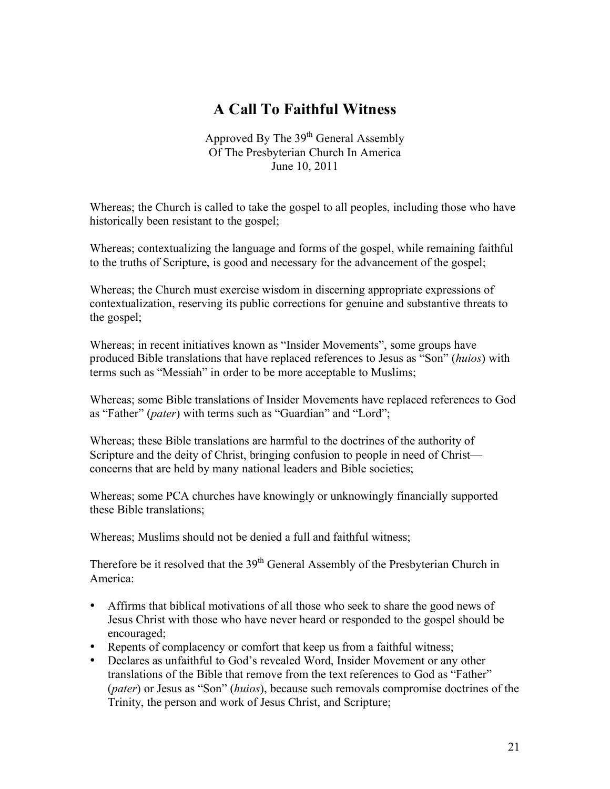# **A Call To Faithful Witness**

Approved By The 39<sup>th</sup> General Assembly Of The Presbyterian Church In America June 10, 2011

Whereas; the Church is called to take the gospel to all peoples, including those who have historically been resistant to the gospel;

Whereas; contextualizing the language and forms of the gospel, while remaining faithful to the truths of Scripture, is good and necessary for the advancement of the gospel;

Whereas; the Church must exercise wisdom in discerning appropriate expressions of contextualization, reserving its public corrections for genuine and substantive threats to the gospel;

Whereas; in recent initiatives known as "Insider Movements", some groups have produced Bible translations that have replaced references to Jesus as "Son" (*huios*) with terms such as "Messiah" in order to be more acceptable to Muslims;

Whereas; some Bible translations of Insider Movements have replaced references to God as "Father" (*pater*) with terms such as "Guardian" and "Lord";

Whereas; these Bible translations are harmful to the doctrines of the authority of Scripture and the deity of Christ, bringing confusion to people in need of Christ concerns that are held by many national leaders and Bible societies;

Whereas; some PCA churches have knowingly or unknowingly financially supported these Bible translations;

Whereas; Muslims should not be denied a full and faithful witness;

Therefore be it resolved that the 39<sup>th</sup> General Assembly of the Presbyterian Church in America:

- Affirms that biblical motivations of all those who seek to share the good news of Jesus Christ with those who have never heard or responded to the gospel should be encouraged;
- Repents of complacency or comfort that keep us from a faithful witness;
- Declares as unfaithful to God's revealed Word, Insider Movement or any other translations of the Bible that remove from the text references to God as "Father" (*pater*) or Jesus as "Son" (*huios*), because such removals compromise doctrines of the Trinity, the person and work of Jesus Christ, and Scripture;